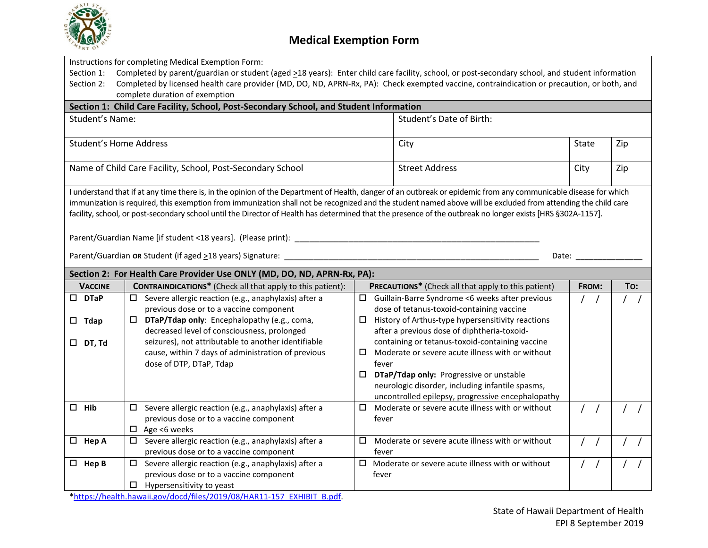

|                                                                                                                                                                  | Instructions for completing Medical Exemption Form:                                                                                                         |                                                            |                                                                                                                                                                                                                                |     |  |  |  |  |
|------------------------------------------------------------------------------------------------------------------------------------------------------------------|-------------------------------------------------------------------------------------------------------------------------------------------------------------|------------------------------------------------------------|--------------------------------------------------------------------------------------------------------------------------------------------------------------------------------------------------------------------------------|-----|--|--|--|--|
| Completed by parent/guardian or student (aged >18 years): Enter child care facility, school, or post-secondary school, and student information<br>Section 1:     |                                                                                                                                                             |                                                            |                                                                                                                                                                                                                                |     |  |  |  |  |
| Section 2:                                                                                                                                                       | Completed by licensed health care provider (MD, DO, ND, APRN-Rx, PA): Check exempted vaccine, contraindication or precaution, or both, and                  |                                                            |                                                                                                                                                                                                                                |     |  |  |  |  |
|                                                                                                                                                                  | complete duration of exemption                                                                                                                              |                                                            |                                                                                                                                                                                                                                |     |  |  |  |  |
| Section 1: Child Care Facility, School, Post-Secondary School, and Student Information                                                                           |                                                                                                                                                             |                                                            |                                                                                                                                                                                                                                |     |  |  |  |  |
| <b>Student's Name:</b>                                                                                                                                           |                                                                                                                                                             | Student's Date of Birth:                                   |                                                                                                                                                                                                                                |     |  |  |  |  |
|                                                                                                                                                                  |                                                                                                                                                             |                                                            |                                                                                                                                                                                                                                |     |  |  |  |  |
| <b>Student's Home Address</b>                                                                                                                                    |                                                                                                                                                             | City                                                       | State                                                                                                                                                                                                                          | Zip |  |  |  |  |
|                                                                                                                                                                  |                                                                                                                                                             |                                                            |                                                                                                                                                                                                                                |     |  |  |  |  |
| Name of Child Care Facility, School, Post-Secondary School                                                                                                       |                                                                                                                                                             | <b>Street Address</b>                                      | City                                                                                                                                                                                                                           | Zip |  |  |  |  |
|                                                                                                                                                                  |                                                                                                                                                             |                                                            |                                                                                                                                                                                                                                |     |  |  |  |  |
| I understand that if at any time there is, in the opinion of the Department of Health, danger of an outbreak or epidemic from any communicable disease for which |                                                                                                                                                             |                                                            |                                                                                                                                                                                                                                |     |  |  |  |  |
| immunization is required, this exemption from immunization shall not be recognized and the student named above will be excluded from attending the child care    |                                                                                                                                                             |                                                            |                                                                                                                                                                                                                                |     |  |  |  |  |
|                                                                                                                                                                  | facility, school, or post-secondary school until the Director of Health has determined that the presence of the outbreak no longer exists [HRS §302A-1157]. |                                                            |                                                                                                                                                                                                                                |     |  |  |  |  |
|                                                                                                                                                                  |                                                                                                                                                             |                                                            |                                                                                                                                                                                                                                |     |  |  |  |  |
|                                                                                                                                                                  |                                                                                                                                                             |                                                            |                                                                                                                                                                                                                                |     |  |  |  |  |
|                                                                                                                                                                  |                                                                                                                                                             |                                                            |                                                                                                                                                                                                                                |     |  |  |  |  |
|                                                                                                                                                                  | Parent/Guardian OR Student (if aged >18 years) Signature: ___                                                                                               |                                                            | Date: the contract of the contract of the contract of the contract of the contract of the contract of the contract of the contract of the contract of the contract of the contract of the contract of the contract of the cont |     |  |  |  |  |
|                                                                                                                                                                  | Section 2: For Health Care Provider Use ONLY (MD, DO, ND, APRN-Rx, PA):                                                                                     |                                                            |                                                                                                                                                                                                                                |     |  |  |  |  |
| <b>VACCINE</b>                                                                                                                                                   | <b>CONTRAINDICATIONS*</b> (Check all that apply to this patient):                                                                                           | <b>PRECAUTIONS*</b> (Check all that apply to this patient) | <b>FROM:</b>                                                                                                                                                                                                                   | To: |  |  |  |  |
| $\square$ DTaP                                                                                                                                                   | $\Box$ Severe allergic reaction (e.g., anaphylaxis) after a                                                                                                 | $\Box$ Guillain-Barre Syndrome <6 weeks after previous     |                                                                                                                                                                                                                                |     |  |  |  |  |
|                                                                                                                                                                  | previous dose or to a vaccine component                                                                                                                     | dose of tetanus-toxoid-containing vaccine                  |                                                                                                                                                                                                                                |     |  |  |  |  |
|                                                                                                                                                                  | $\Box$ DTaP/Tdap only: Encephalopathy (e.g., coma,                                                                                                          | $\Box$ History of Arthus-type hypersensitivity reactions   |                                                                                                                                                                                                                                |     |  |  |  |  |
| $\square$ Tdap                                                                                                                                                   | decreased level of consciousness, prolonged                                                                                                                 | after a previous dose of diphtheria-toxoid-                |                                                                                                                                                                                                                                |     |  |  |  |  |
| $\Box$ DT, Td                                                                                                                                                    | seizures), not attributable to another identifiable                                                                                                         | containing or tetanus-toxoid-containing vaccine            |                                                                                                                                                                                                                                |     |  |  |  |  |
|                                                                                                                                                                  | cause, within 7 days of administration of previous                                                                                                          | Moderate or severe acute illness with or without<br>□      |                                                                                                                                                                                                                                |     |  |  |  |  |
|                                                                                                                                                                  | dose of DTP, DTaP, Tdap                                                                                                                                     | fever                                                      |                                                                                                                                                                                                                                |     |  |  |  |  |
|                                                                                                                                                                  |                                                                                                                                                             | DTaP/Tdap only: Progressive or unstable                    |                                                                                                                                                                                                                                |     |  |  |  |  |
|                                                                                                                                                                  |                                                                                                                                                             | neurologic disorder, including infantile spasms,           |                                                                                                                                                                                                                                |     |  |  |  |  |
|                                                                                                                                                                  |                                                                                                                                                             | uncontrolled epilepsy, progressive encephalopathy          |                                                                                                                                                                                                                                |     |  |  |  |  |
| Hib<br>$\Box$                                                                                                                                                    | $\Box$ Severe allergic reaction (e.g., anaphylaxis) after a                                                                                                 | $\Box$<br>Moderate or severe acute illness with or without |                                                                                                                                                                                                                                |     |  |  |  |  |
|                                                                                                                                                                  | previous dose or to a vaccine component                                                                                                                     | fever                                                      |                                                                                                                                                                                                                                |     |  |  |  |  |
|                                                                                                                                                                  | $\Box$ Age <6 weeks                                                                                                                                         |                                                            |                                                                                                                                                                                                                                |     |  |  |  |  |
| $\Box$ Hep A                                                                                                                                                     | $\square$ Severe allergic reaction (e.g., anaphylaxis) after a                                                                                              | $\Box$ Moderate or severe acute illness with or without    |                                                                                                                                                                                                                                |     |  |  |  |  |
|                                                                                                                                                                  |                                                                                                                                                             |                                                            |                                                                                                                                                                                                                                |     |  |  |  |  |
|                                                                                                                                                                  | previous dose or to a vaccine component                                                                                                                     | fever                                                      |                                                                                                                                                                                                                                |     |  |  |  |  |
| $\Box$ Hep B                                                                                                                                                     | Severe allergic reaction (e.g., anaphylaxis) after a                                                                                                        | $\Box$ Moderate or severe acute illness with or without    |                                                                                                                                                                                                                                |     |  |  |  |  |
|                                                                                                                                                                  | previous dose or to a vaccine component                                                                                                                     | fever                                                      |                                                                                                                                                                                                                                |     |  |  |  |  |

[\\*https://health.hawaii.gov/docd/files/2019/08/HAR11-157\\_EXHIBIT\\_B.pdf.](https://health.hawaii.gov/docd/files/2019/08/HAR11-157_EXHIBIT_B.pdf)